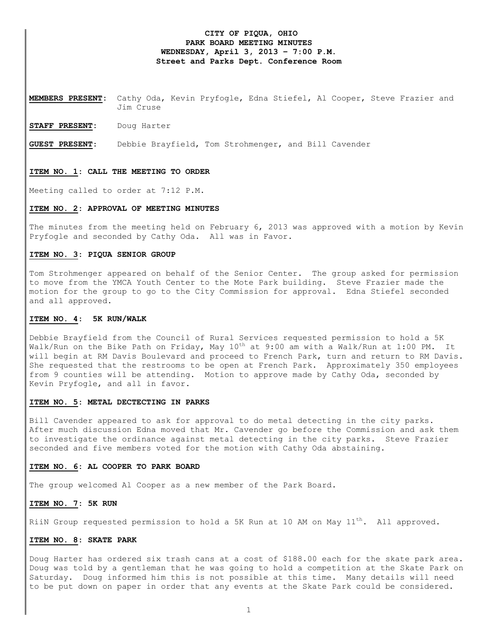# **CITY OF PIQUA, OHIO PARK BOARD MEETING MINUTES WEDNESDAY, April 3, 2013 – 7:00 P.M. Street and Parks Dept. Conference Room**

**MEMBERS PRESENT:** Cathy Oda, Kevin Pryfogle, Edna Stiefel, Al Cooper, Steve Frazier and Jim Cruse

**STAFF PRESENT:** Doug Harter

**GUEST PRESENT**: Debbie Brayfield, Tom Strohmenger, and Bill Cavender

#### **ITEM NO. 1: CALL THE MEETING TO ORDER**

Meeting called to order at 7:12 P.M.

#### **ITEM NO. 2: APPROVAL OF MEETING MINUTES**

The minutes from the meeting held on February 6, 2013 was approved with a motion by Kevin Pryfogle and seconded by Cathy Oda. All was in Favor.

## **ITEM NO. 3: PIQUA SENIOR GROUP**

Tom Strohmenger appeared on behalf of the Senior Center. The group asked for permission to move from the YMCA Youth Center to the Mote Park building. Steve Frazier made the motion for the group to go to the City Commission for approval. Edna Stiefel seconded and all approved.

#### **ITEM NO. 4: 5K RUN/WALK**

Debbie Brayfield from the Council of Rural Services requested permission to hold a 5K Walk/Run on the Bike Path on Friday, May  $10^{th}$  at 9:00 am with a Walk/Run at 1:00 PM. It will begin at RM Davis Boulevard and proceed to French Park, turn and return to RM Davis. She requested that the restrooms to be open at French Park. Approximately 350 employees from 9 counties will be attending. Motion to approve made by Cathy Oda, seconded by Kevin Pryfogle, and all in favor.

### **ITEM NO. 5: METAL DECTECTING IN PARKS**

Bill Cavender appeared to ask for approval to do metal detecting in the city parks. After much discussion Edna moved that Mr. Cavender go before the Commission and ask them to investigate the ordinance against metal detecting in the city parks. Steve Frazier seconded and five members voted for the motion with Cathy Oda abstaining.

## **ITEM NO. 6: AL COOPER TO PARK BOARD**

The group welcomed Al Cooper as a new member of the Park Board.

# **ITEM NO. 7: 5K RUN**

RiiN Group requested permission to hold a 5K Run at 10 AM on May 11<sup>th</sup>. All approved.

### **ITEM NO. 8: SKATE PARK**

Doug Harter has ordered six trash cans at a cost of \$188.00 each for the skate park area. Doug was told by a gentleman that he was going to hold a competition at the Skate Park on Saturday. Doug informed him this is not possible at this time. Many details will need to be put down on paper in order that any events at the Skate Park could be considered.